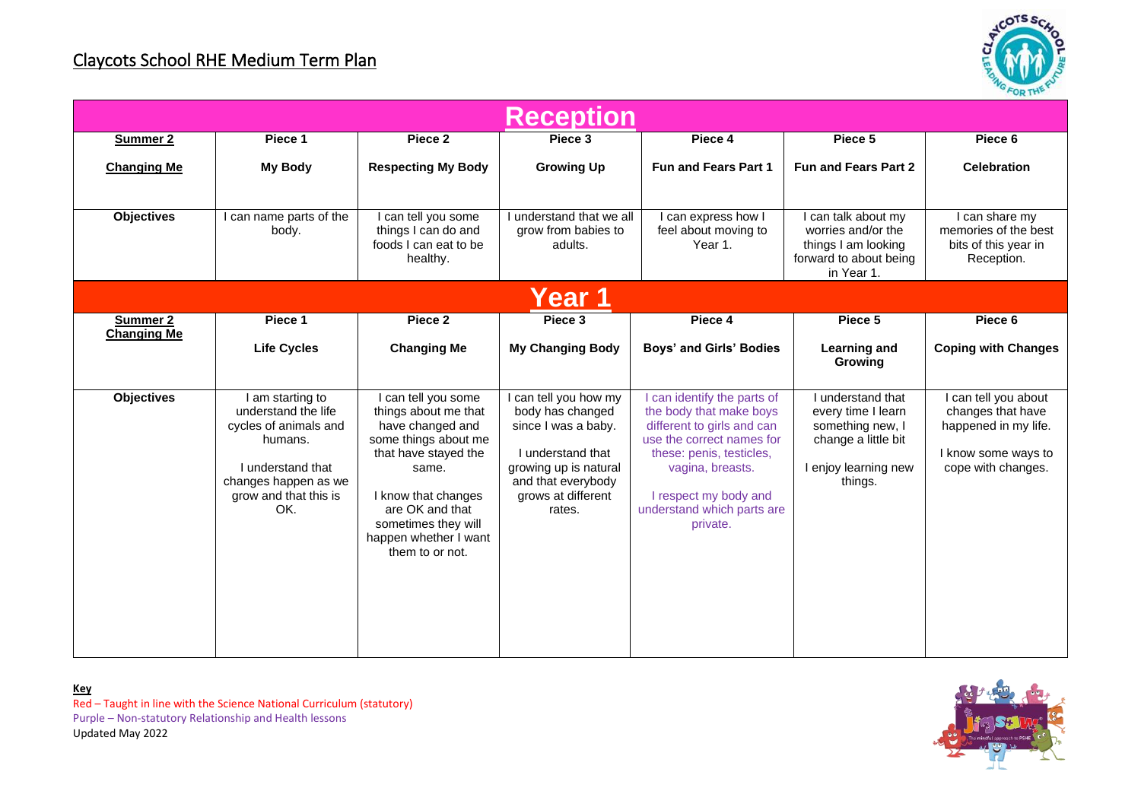## Claycots School RHE Medium Term Plan



| <b>Reception</b>               |                                                                                                                                                         |                                                                                                                                                                                                                                     |                                                                                                                                                                      |                                                                                                                                                                                                                                      |                                                                                                                       |                                                                                                                |  |
|--------------------------------|---------------------------------------------------------------------------------------------------------------------------------------------------------|-------------------------------------------------------------------------------------------------------------------------------------------------------------------------------------------------------------------------------------|----------------------------------------------------------------------------------------------------------------------------------------------------------------------|--------------------------------------------------------------------------------------------------------------------------------------------------------------------------------------------------------------------------------------|-----------------------------------------------------------------------------------------------------------------------|----------------------------------------------------------------------------------------------------------------|--|
| <b>Summer 2</b>                | Piece 1                                                                                                                                                 | Piece 2                                                                                                                                                                                                                             | Piece 3                                                                                                                                                              | Piece 4                                                                                                                                                                                                                              | Piece 5                                                                                                               | Piece 6                                                                                                        |  |
| <b>Changing Me</b>             | <b>My Body</b>                                                                                                                                          | <b>Respecting My Body</b>                                                                                                                                                                                                           | <b>Growing Up</b>                                                                                                                                                    | <b>Fun and Fears Part 1</b>                                                                                                                                                                                                          | <b>Fun and Fears Part 2</b>                                                                                           | <b>Celebration</b>                                                                                             |  |
| <b>Objectives</b>              | can name parts of the<br>body.                                                                                                                          | I can tell you some<br>things I can do and<br>foods I can eat to be<br>healthy.                                                                                                                                                     | understand that we all<br>grow from babies to<br>adults.                                                                                                             | can express how I<br>feel about moving to<br>Year 1.                                                                                                                                                                                 | I can talk about my<br>worries and/or the<br>things I am looking<br>forward to about being<br>in Year 1.              | I can share my<br>memories of the best<br>bits of this year in<br>Reception.                                   |  |
| Year 1                         |                                                                                                                                                         |                                                                                                                                                                                                                                     |                                                                                                                                                                      |                                                                                                                                                                                                                                      |                                                                                                                       |                                                                                                                |  |
| Summer 2<br><b>Changing Me</b> | Piece 1                                                                                                                                                 | Piece 2                                                                                                                                                                                                                             | Piece 3                                                                                                                                                              | Piece 4                                                                                                                                                                                                                              | Piece 5                                                                                                               | Piece 6                                                                                                        |  |
|                                | <b>Life Cycles</b>                                                                                                                                      | <b>Changing Me</b>                                                                                                                                                                                                                  | <b>My Changing Body</b>                                                                                                                                              | Boys' and Girls' Bodies                                                                                                                                                                                                              | <b>Learning and</b><br>Growing                                                                                        | <b>Coping with Changes</b>                                                                                     |  |
| <b>Objectives</b>              | I am starting to<br>understand the life<br>cycles of animals and<br>humans.<br>Lunderstand that<br>changes happen as we<br>grow and that this is<br>OK. | can tell you some<br>things about me that<br>have changed and<br>some things about me<br>that have stayed the<br>same.<br>I know that changes<br>are OK and that<br>sometimes they will<br>happen whether I want<br>them to or not. | I can tell you how my<br>body has changed<br>since I was a baby.<br>I understand that<br>growing up is natural<br>and that everybody<br>grows at different<br>rates. | I can identify the parts of<br>the body that make boys<br>different to girls and can<br>use the correct names for<br>these: penis, testicles,<br>vagina, breasts.<br>I respect my body and<br>understand which parts are<br>private. | I understand that<br>every time I learn<br>something new, I<br>change a little bit<br>I enjoy learning new<br>things. | I can tell you about<br>changes that have<br>happened in my life.<br>I know some ways to<br>cope with changes. |  |



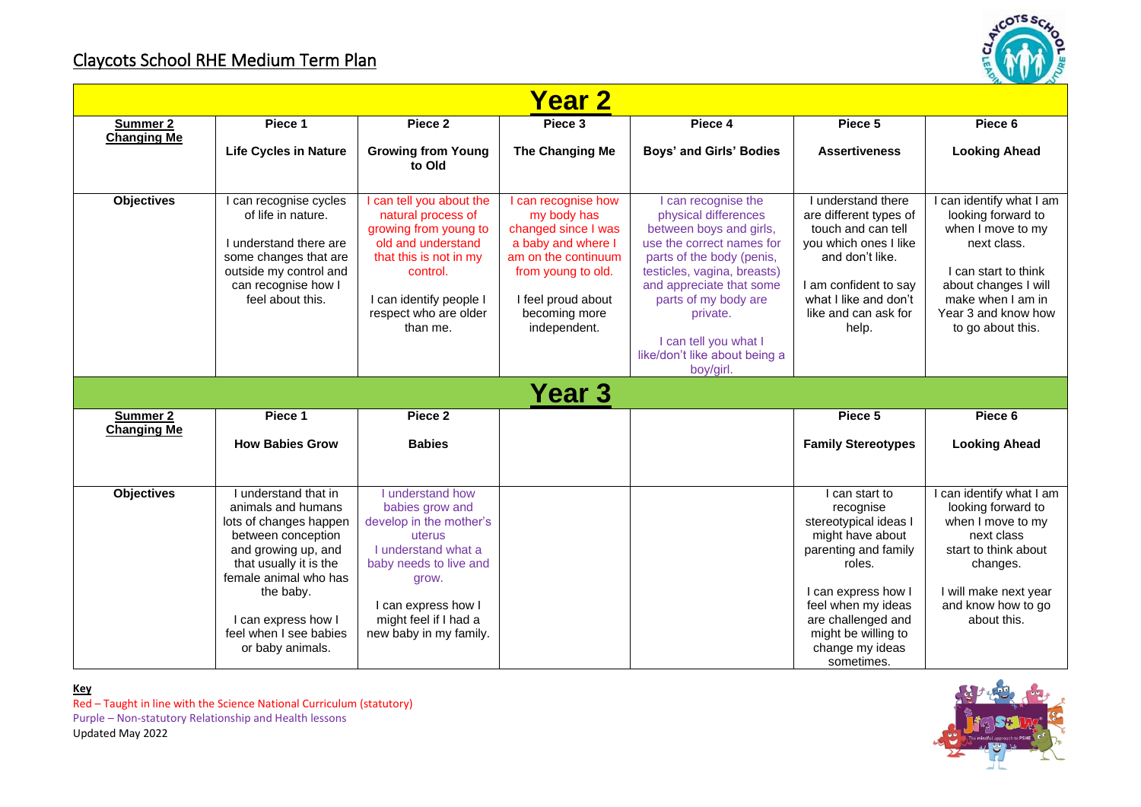## Claycots School RHE Medium Term Plan



| <b>Year 2</b>      |                                                                                                                                                                                                                                                        |                                                                                                                                                                                                              |                                                                                                                                                                                     |                                                                                                                                                                                                                                                                                                      |                                                                                                                                                                                                                                       |                                                                                                                                                                                                     |
|--------------------|--------------------------------------------------------------------------------------------------------------------------------------------------------------------------------------------------------------------------------------------------------|--------------------------------------------------------------------------------------------------------------------------------------------------------------------------------------------------------------|-------------------------------------------------------------------------------------------------------------------------------------------------------------------------------------|------------------------------------------------------------------------------------------------------------------------------------------------------------------------------------------------------------------------------------------------------------------------------------------------------|---------------------------------------------------------------------------------------------------------------------------------------------------------------------------------------------------------------------------------------|-----------------------------------------------------------------------------------------------------------------------------------------------------------------------------------------------------|
| Summer 2           | Piece 1                                                                                                                                                                                                                                                | Piece 2                                                                                                                                                                                                      | Piece 3                                                                                                                                                                             | Piece 4                                                                                                                                                                                                                                                                                              | Piece 5                                                                                                                                                                                                                               | Piece 6                                                                                                                                                                                             |
| <b>Changing Me</b> | <b>Life Cycles in Nature</b>                                                                                                                                                                                                                           | <b>Growing from Young</b><br>to Old                                                                                                                                                                          | The Changing Me                                                                                                                                                                     | Boys' and Girls' Bodies                                                                                                                                                                                                                                                                              | <b>Assertiveness</b>                                                                                                                                                                                                                  | <b>Looking Ahead</b>                                                                                                                                                                                |
| <b>Objectives</b>  | I can recognise cycles<br>of life in nature.<br>I understand there are<br>some changes that are<br>outside my control and<br>can recognise how I<br>feel about this.                                                                                   | can tell you about the<br>natural process of<br>growing from young to<br>old and understand<br>that this is not in my<br>control.<br>I can identify people I<br>respect who are older<br>than me.            | I can recognise how<br>my body has<br>changed since I was<br>a baby and where I<br>am on the continuum<br>from young to old.<br>I feel proud about<br>becoming more<br>independent. | can recognise the<br>physical differences<br>between boys and girls,<br>use the correct names for<br>parts of the body (penis,<br>testicles, vagina, breasts)<br>and appreciate that some<br>parts of my body are<br>private.<br>I can tell you what I<br>like/don't like about being a<br>boy/girl. | I understand there<br>are different types of<br>touch and can tell<br>vou which ones I like<br>and don't like.<br>I am confident to say<br>what I like and don't<br>like and can ask for<br>help.                                     | I can identify what I am<br>looking forward to<br>when I move to my<br>next class.<br>I can start to think<br>about changes I will<br>make when I am in<br>Year 3 and know how<br>to go about this. |
|                    |                                                                                                                                                                                                                                                        |                                                                                                                                                                                                              | <b>Year 3</b>                                                                                                                                                                       |                                                                                                                                                                                                                                                                                                      |                                                                                                                                                                                                                                       |                                                                                                                                                                                                     |
| <b>Summer 2</b>    | Piece 1                                                                                                                                                                                                                                                | Piece 2                                                                                                                                                                                                      |                                                                                                                                                                                     |                                                                                                                                                                                                                                                                                                      | Piece 5                                                                                                                                                                                                                               | Piece 6                                                                                                                                                                                             |
| <b>Changing Me</b> | <b>How Babies Grow</b>                                                                                                                                                                                                                                 | <b>Babies</b>                                                                                                                                                                                                |                                                                                                                                                                                     |                                                                                                                                                                                                                                                                                                      | <b>Family Stereotypes</b>                                                                                                                                                                                                             | <b>Looking Ahead</b>                                                                                                                                                                                |
| <b>Objectives</b>  | I understand that in<br>animals and humans<br>lots of changes happen<br>between conception<br>and growing up, and<br>that usually it is the<br>female animal who has<br>the baby.<br>I can express how I<br>feel when I see babies<br>or baby animals. | I understand how<br>babies grow and<br>develop in the mother's<br>uterus<br>I understand what a<br>baby needs to live and<br>grow.<br>I can express how I<br>might feel if I had a<br>new baby in my family. |                                                                                                                                                                                     |                                                                                                                                                                                                                                                                                                      | I can start to<br>recognise<br>stereotypical ideas I<br>might have about<br>parenting and family<br>roles.<br>I can express how I<br>feel when my ideas<br>are challenged and<br>might be willing to<br>change my ideas<br>sometimes. | I can identify what I am<br>looking forward to<br>when I move to my<br>next class<br>start to think about<br>changes.<br>I will make next year<br>and know how to go<br>about this.                 |

**Key** Red – Taught in line with the Science National Curriculum (statutory) Purple – Non-statutory Relationship and Health lessons Updated May 2022

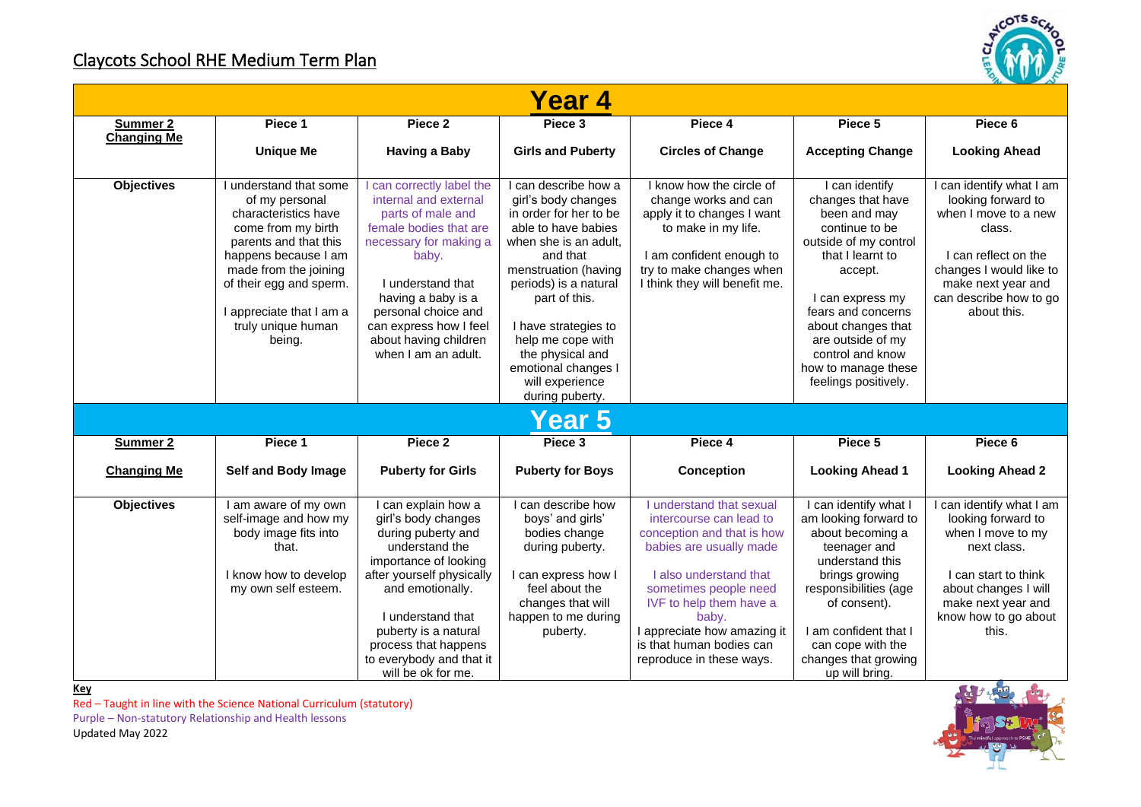## Claycots School RHE Medium Term Plan



| Year 4             |                                                                                                                                                                                                                                                       |                                                                                                                                                                                                                                                                                     |                                                                                                                                                                                                                                                                                                                                   |                                                                                                                                                                                                                                                                                            |                                                                                                                                                                                                                                                                                       |                                                                                                                                                                                                    |
|--------------------|-------------------------------------------------------------------------------------------------------------------------------------------------------------------------------------------------------------------------------------------------------|-------------------------------------------------------------------------------------------------------------------------------------------------------------------------------------------------------------------------------------------------------------------------------------|-----------------------------------------------------------------------------------------------------------------------------------------------------------------------------------------------------------------------------------------------------------------------------------------------------------------------------------|--------------------------------------------------------------------------------------------------------------------------------------------------------------------------------------------------------------------------------------------------------------------------------------------|---------------------------------------------------------------------------------------------------------------------------------------------------------------------------------------------------------------------------------------------------------------------------------------|----------------------------------------------------------------------------------------------------------------------------------------------------------------------------------------------------|
| <b>Summer 2</b>    | Piece 1                                                                                                                                                                                                                                               | Piece <sub>2</sub>                                                                                                                                                                                                                                                                  | Piece 3                                                                                                                                                                                                                                                                                                                           | Piece 4                                                                                                                                                                                                                                                                                    | Piece 5                                                                                                                                                                                                                                                                               | Piece 6                                                                                                                                                                                            |
| <b>Changing Me</b> | <b>Unique Me</b>                                                                                                                                                                                                                                      | <b>Having a Baby</b>                                                                                                                                                                                                                                                                | <b>Girls and Puberty</b>                                                                                                                                                                                                                                                                                                          | <b>Circles of Change</b>                                                                                                                                                                                                                                                                   | <b>Accepting Change</b>                                                                                                                                                                                                                                                               | <b>Looking Ahead</b>                                                                                                                                                                               |
| <b>Objectives</b>  | I understand that some<br>of my personal<br>characteristics have<br>come from my birth<br>parents and that this<br>happens because I am<br>made from the joining<br>of their egg and sperm.<br>appreciate that I am a<br>truly unique human<br>being. | can correctly label the<br>internal and external<br>parts of male and<br>female bodies that are<br>necessary for making a<br>baby.<br>I understand that<br>having a baby is a<br>personal choice and<br>can express how I feel<br>about having children<br>when I am an adult.      | I can describe how a<br>girl's body changes<br>in order for her to be<br>able to have babies<br>when she is an adult.<br>and that<br>menstruation (having<br>periods) is a natural<br>part of this.<br>I have strategies to<br>help me cope with<br>the physical and<br>emotional changes I<br>will experience<br>during puberty. | I know how the circle of<br>change works and can<br>apply it to changes I want<br>to make in my life.<br>I am confident enough to<br>try to make changes when<br>I think they will benefit me.                                                                                             | I can identify<br>changes that have<br>been and may<br>continue to be<br>outside of my control<br>that I learnt to<br>accept.<br>I can express my<br>fears and concerns<br>about changes that<br>are outside of my<br>control and know<br>how to manage these<br>feelings positively. | I can identify what I am<br>looking forward to<br>when I move to a new<br>class.<br>I can reflect on the<br>changes I would like to<br>make next year and<br>can describe how to go<br>about this. |
| Year 5             |                                                                                                                                                                                                                                                       |                                                                                                                                                                                                                                                                                     |                                                                                                                                                                                                                                                                                                                                   |                                                                                                                                                                                                                                                                                            |                                                                                                                                                                                                                                                                                       |                                                                                                                                                                                                    |
| Summer 2           | Piece 1                                                                                                                                                                                                                                               | Piece <sub>2</sub>                                                                                                                                                                                                                                                                  | Piece 3                                                                                                                                                                                                                                                                                                                           | Piece 4                                                                                                                                                                                                                                                                                    | Piece 5                                                                                                                                                                                                                                                                               | Piece 6                                                                                                                                                                                            |
| <b>Changing Me</b> | Self and Body Image                                                                                                                                                                                                                                   | <b>Puberty for Girls</b>                                                                                                                                                                                                                                                            | <b>Puberty for Boys</b>                                                                                                                                                                                                                                                                                                           | <b>Conception</b>                                                                                                                                                                                                                                                                          | <b>Looking Ahead 1</b>                                                                                                                                                                                                                                                                | <b>Looking Ahead 2</b>                                                                                                                                                                             |
| <b>Objectives</b>  | I am aware of my own<br>self-image and how my<br>body image fits into<br>that.<br>I know how to develop<br>my own self esteem.                                                                                                                        | I can explain how a<br>girl's body changes<br>during puberty and<br>understand the<br>importance of looking<br>after yourself physically<br>and emotionally.<br>I understand that<br>puberty is a natural<br>process that happens<br>to everybody and that it<br>will be ok for me. | I can describe how<br>boys' and girls'<br>bodies change<br>during puberty.<br>I can express how I<br>feel about the<br>changes that will<br>happen to me during<br>puberty.                                                                                                                                                       | I understand that sexual<br>intercourse can lead to<br>conception and that is how<br>babies are usually made<br>I also understand that<br>sometimes people need<br>IVF to help them have a<br>baby.<br>I appreciate how amazing it<br>is that human bodies can<br>reproduce in these ways. | can identify what I<br>am looking forward to<br>about becoming a<br>teenager and<br>understand this<br>brings growing<br>responsibilities (age<br>of consent).<br>I am confident that I<br>can cope with the<br>changes that growing<br>up will bring.                                | can identify what I am<br>looking forward to<br>when I move to my<br>next class.<br>I can start to think<br>about changes I will<br>make next year and<br>know how to go about<br>this.            |

**Key**

Red – Taught in line with the Science National Curriculum (statutory) Purple – Non-statutory Relationship and Health lessons

Updated May 2022